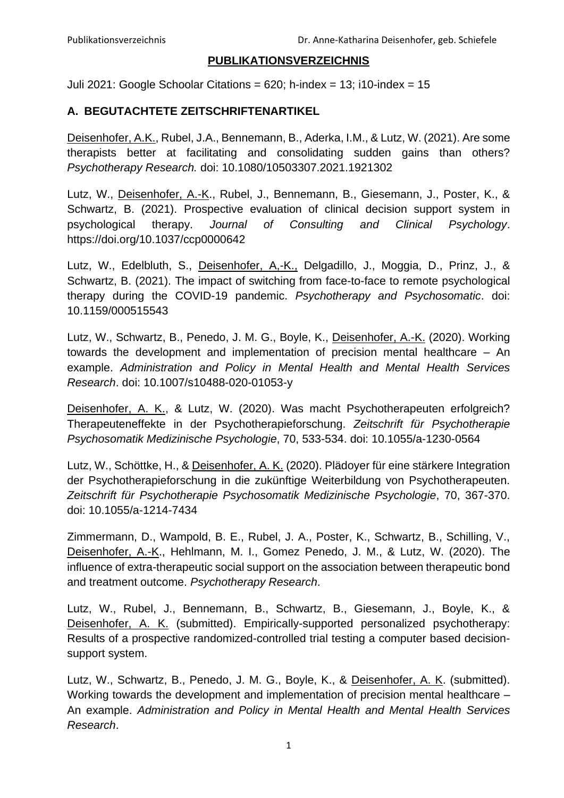## **PUBLIKATIONSVERZEICHNIS**

Juli 2021: Google Schoolar Citations =  $620$ ; h-index =  $13$ ; i10-index =  $15$ 

## **A. BEGUTACHTETE ZEITSCHRIFTENARTIKEL**

Deisenhofer, A.K., Rubel, J.A., Bennemann, B., Aderka, I.M., & Lutz, W. (2021). Are some therapists better at facilitating and consolidating sudden gains than others? *Psychotherapy Research.* doi: 10.1080/10503307.2021.1921302

Lutz, W., Deisenhofer, A.-K., Rubel, J., Bennemann, B., Giesemann, J., Poster, K., & Schwartz, B. (2021). Prospective evaluation of clinical decision support system in psychological therapy. *Journal of Consulting and Clinical Psychology*. https://doi.org/10.1037/ccp0000642

Lutz, W., Edelbluth, S., Deisenhofer, A,-K., Delgadillo, J., Moggia, D., Prinz, J., & Schwartz, B. (2021). The impact of switching from face-to-face to remote psychological therapy during the COVID-19 pandemic. *Psychotherapy and Psychosomatic*. doi: 10.1159/000515543

Lutz, W., Schwartz, B., Penedo, J. M. G., Boyle, K., Deisenhofer, A.-K. (2020). Working towards the development and implementation of precision mental healthcare – An example. *Administration and Policy in Mental Health and Mental Health Services Research*. doi: 10.1007/s10488-020-01053-y

Deisenhofer, A. K., & Lutz, W. (2020). Was macht Psychotherapeuten erfolgreich? Therapeuteneffekte in der Psychotherapieforschung. *Zeitschrift für Psychotherapie Psychosomatik Medizinische Psychologie*, 70, 533-534. doi: 10.1055/a-1230-0564

Lutz, W., Schöttke, H., & Deisenhofer, A. K. (2020). Plädoyer für eine stärkere Integration der Psychotherapieforschung in die zukünftige Weiterbildung von Psychotherapeuten. *Zeitschrift für Psychotherapie Psychosomatik Medizinische Psychologie*, 70, 367-370. doi: 10.1055/a-1214-7434

Zimmermann, D., Wampold, B. E., Rubel, J. A., Poster, K., Schwartz, B., Schilling, V., Deisenhofer, A.-K., Hehlmann, M. I., Gomez Penedo, J. M., & Lutz, W. (2020). The influence of extra-therapeutic social support on the association between therapeutic bond and treatment outcome. *Psychotherapy Research*.

Lutz, W., Rubel, J., Bennemann, B., Schwartz, B., Giesemann, J., Boyle, K., & Deisenhofer, A. K. (submitted). Empirically-supported personalized psychotherapy: Results of a prospective randomized-controlled trial testing a computer based decisionsupport system.

Lutz, W., Schwartz, B., Penedo, J. M. G., Boyle, K., & Deisenhofer, A. K. (submitted). Working towards the development and implementation of precision mental healthcare – An example. *Administration and Policy in Mental Health and Mental Health Services Research*.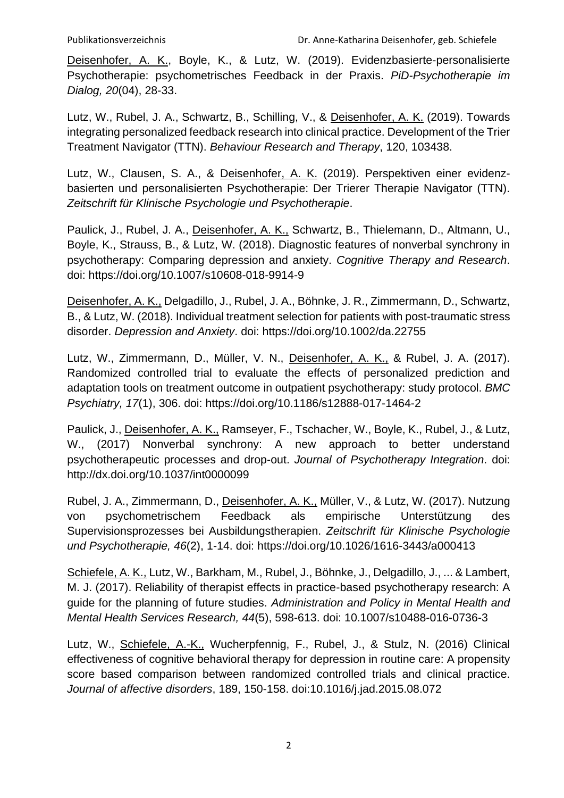Deisenhofer, A. K., Boyle, K., & Lutz, W. (2019). Evidenzbasierte-personalisierte Psychotherapie: psychometrisches Feedback in der Praxis. *PiD-Psychotherapie im Dialog, 20*(04), 28-33.

Lutz, W., Rubel, J. A., Schwartz, B., Schilling, V., & Deisenhofer, A. K. (2019). Towards integrating personalized feedback research into clinical practice. Development of the Trier Treatment Navigator (TTN). *Behaviour Research and Therapy*, 120, 103438.

Lutz, W., Clausen, S. A., & Deisenhofer, A. K. (2019). Perspektiven einer evidenzbasierten und personalisierten Psychotherapie: Der Trierer Therapie Navigator (TTN). *Zeitschrift für Klinische Psychologie und Psychotherapie*.

Paulick, J., Rubel, J. A., Deisenhofer, A. K., Schwartz, B., Thielemann, D., Altmann, U., Boyle, K., Strauss, B., & Lutz, W. (2018). Diagnostic features of nonverbal synchrony in psychotherapy: Comparing depression and anxiety. *Cognitive Therapy and Research*. doi: https://doi.org/10.1007/s10608-018-9914-9

Deisenhofer, A. K., Delgadillo, J., Rubel, J. A., Böhnke, J. R., Zimmermann, D., Schwartz, B., & Lutz, W. (2018). Individual treatment selection for patients with post-traumatic stress disorder. *Depression and Anxiety*. doi: https://doi.org/10.1002/da.22755

Lutz, W., Zimmermann, D., Müller, V. N., Deisenhofer, A. K., & Rubel, J. A. (2017). Randomized controlled trial to evaluate the effects of personalized prediction and adaptation tools on treatment outcome in outpatient psychotherapy: study protocol. *BMC Psychiatry, 17*(1), 306. doi: https://doi.org/10.1186/s12888-017-1464-2

Paulick, J., Deisenhofer, A. K., Ramseyer, F., Tschacher, W., Boyle, K., Rubel, J., & Lutz, W., (2017) Nonverbal synchrony: A new approach to better understand psychotherapeutic processes and drop-out. *Journal of Psychotherapy Integration*. doi: http://dx.doi.org/10.1037/int0000099

Rubel, J. A., Zimmermann, D., Deisenhofer, A. K., Müller, V., & Lutz, W. (2017). Nutzung von psychometrischem Feedback als empirische Unterstützung des Supervisionsprozesses bei Ausbildungstherapien. *Zeitschrift für Klinische Psychologie und Psychotherapie, 46*(2), 1-14. doi: https://doi.org/10.1026/1616-3443/a000413

Schiefele, A. K., Lutz, W., Barkham, M., Rubel, J., Böhnke, J., Delgadillo, J., ... & Lambert, M. J. (2017). Reliability of therapist effects in practice-based psychotherapy research: A guide for the planning of future studies. *Administration and Policy in Mental Health and Mental Health Services Research, 44*(5), 598-613. doi: 10.1007/s10488-016-0736-3

Lutz, W., Schiefele, A.-K., Wucherpfennig, F., Rubel, J., & Stulz, N. (2016) Clinical effectiveness of cognitive behavioral therapy for depression in routine care: A propensity score based comparison between randomized controlled trials and clinical practice. *Journal of affective disorders*, 189, 150-158. doi:10.1016/j.jad.2015.08.072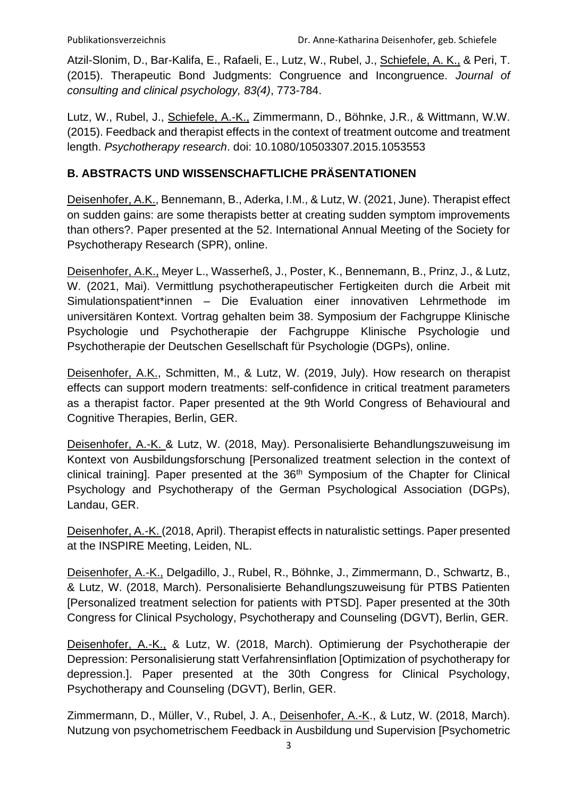Atzil-Slonim, D., Bar-Kalifa, E., Rafaeli, E., Lutz, W., Rubel, J., Schiefele, A. K., & Peri, T. (2015). Therapeutic Bond Judgments: Congruence and Incongruence. *Journal of consulting and clinical psychology, 83(4)*, 773-784.

Lutz, W., Rubel, J., Schiefele, A.-K., Zimmermann, D., Böhnke, J.R., & Wittmann, W.W. (2015). Feedback and therapist effects in the context of treatment outcome and treatment length. *Psychotherapy research*. doi: 10.1080/10503307.2015.1053553

## **B. ABSTRACTS UND WISSENSCHAFTLICHE PRÄSENTATIONEN**

Deisenhofer, A.K., Bennemann, B., Aderka, I.M., & Lutz, W. (2021, June). Therapist effect on sudden gains: are some therapists better at creating sudden symptom improvements than others?. Paper presented at the 52. International Annual Meeting of the Society for Psychotherapy Research (SPR), online.

Deisenhofer, A.K., Meyer L., Wasserheß, J., Poster, K., Bennemann, B., Prinz, J., & Lutz, W. (2021, Mai). Vermittlung psychotherapeutischer Fertigkeiten durch die Arbeit mit Simulationspatient\*innen – Die Evaluation einer innovativen Lehrmethode im universitären Kontext. Vortrag gehalten beim 38. Symposium der Fachgruppe Klinische Psychologie und Psychotherapie der Fachgruppe Klinische Psychologie und Psychotherapie der Deutschen Gesellschaft für Psychologie (DGPs), online.

Deisenhofer, A.K., Schmitten, M., & Lutz, W. (2019, July). How research on therapist effects can support modern treatments: self-confidence in critical treatment parameters as a therapist factor. Paper presented at the 9th World Congress of Behavioural and Cognitive Therapies, Berlin, GER.

Deisenhofer, A.-K. & Lutz, W. (2018, May). Personalisierte Behandlungszuweisung im Kontext von Ausbildungsforschung [Personalized treatment selection in the context of  $clinical$  training]. Paper presented at the  $36<sup>th</sup>$  Symposium of the Chapter for Clinical Psychology and Psychotherapy of the German Psychological Association (DGPs), Landau, GER.

Deisenhofer, A.-K. (2018, April). Therapist effects in naturalistic settings. Paper presented at the INSPIRE Meeting, Leiden, NL.

Deisenhofer, A.-K., Delgadillo, J., Rubel, R., Böhnke, J., Zimmermann, D., Schwartz, B., & Lutz, W. (2018, March). Personalisierte Behandlungszuweisung für PTBS Patienten [Personalized treatment selection for patients with PTSD]. Paper presented at the 30th Congress for Clinical Psychology, Psychotherapy and Counseling (DGVT), Berlin, GER.

Deisenhofer, A.-K., & Lutz, W. (2018, March). Optimierung der Psychotherapie der Depression: Personalisierung statt Verfahrensinflation [Optimization of psychotherapy for depression.]. Paper presented at the 30th Congress for Clinical Psychology, Psychotherapy and Counseling (DGVT), Berlin, GER.

Zimmermann, D., Müller, V., Rubel, J. A., Deisenhofer, A.-K., & Lutz, W. (2018, March). Nutzung von psychometrischem Feedback in Ausbildung und Supervision [Psychometric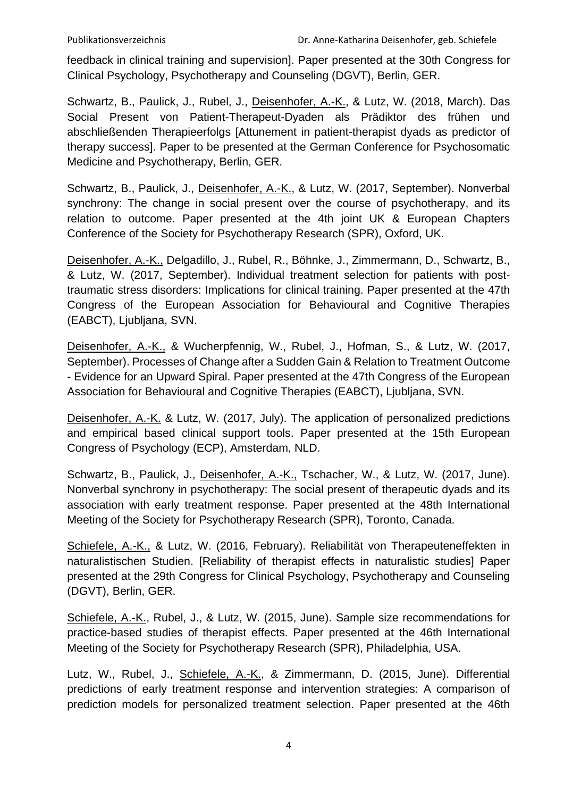feedback in clinical training and supervision]. Paper presented at the 30th Congress for Clinical Psychology, Psychotherapy and Counseling (DGVT), Berlin, GER.

Schwartz, B., Paulick, J., Rubel, J., Deisenhofer, A.-K., & Lutz, W. (2018, March). Das Social Present von Patient-Therapeut-Dyaden als Prädiktor des frühen und abschließenden Therapieerfolgs [Attunement in patient-therapist dyads as predictor of therapy success]. Paper to be presented at the German Conference for Psychosomatic Medicine and Psychotherapy, Berlin, GER.

Schwartz, B., Paulick, J., Deisenhofer, A.-K., & Lutz, W. (2017, September). Nonverbal synchrony: The change in social present over the course of psychotherapy, and its relation to outcome. Paper presented at the 4th joint UK & European Chapters Conference of the Society for Psychotherapy Research (SPR), Oxford, UK.

Deisenhofer, A.-K., Delgadillo, J., Rubel, R., Böhnke, J., Zimmermann, D., Schwartz, B., & Lutz, W. (2017, September). Individual treatment selection for patients with posttraumatic stress disorders: Implications for clinical training. Paper presented at the 47th Congress of the European Association for Behavioural and Cognitive Therapies (EABCT), Ljubljana, SVN.

Deisenhofer, A.-K., & Wucherpfennig, W., Rubel, J., Hofman, S., & Lutz, W. (2017, September). Processes of Change after a Sudden Gain & Relation to Treatment Outcome - Evidence for an Upward Spiral. Paper presented at the 47th Congress of the European Association for Behavioural and Cognitive Therapies (EABCT), Ljubljana, SVN.

Deisenhofer, A.-K. & Lutz, W. (2017, July). The application of personalized predictions and empirical based clinical support tools. Paper presented at the 15th European Congress of Psychology (ECP), Amsterdam, NLD.

Schwartz, B., Paulick, J., Deisenhofer, A.-K., Tschacher, W., & Lutz, W. (2017, June). Nonverbal synchrony in psychotherapy: The social present of therapeutic dyads and its association with early treatment response. Paper presented at the 48th International Meeting of the Society for Psychotherapy Research (SPR), Toronto, Canada.

Schiefele, A.-K., & Lutz, W. (2016, February). Reliabilität von Therapeuteneffekten in naturalistischen Studien. [Reliability of therapist effects in naturalistic studies] Paper presented at the 29th Congress for Clinical Psychology, Psychotherapy and Counseling (DGVT), Berlin, GER.

Schiefele, A.-K., Rubel, J., & Lutz, W. (2015, June). Sample size recommendations for practice-based studies of therapist effects. Paper presented at the 46th International Meeting of the Society for Psychotherapy Research (SPR), Philadelphia, USA.

Lutz, W., Rubel, J., Schiefele, A.-K., & Zimmermann, D. (2015, June). Differential predictions of early treatment response and intervention strategies: A comparison of prediction models for personalized treatment selection. Paper presented at the 46th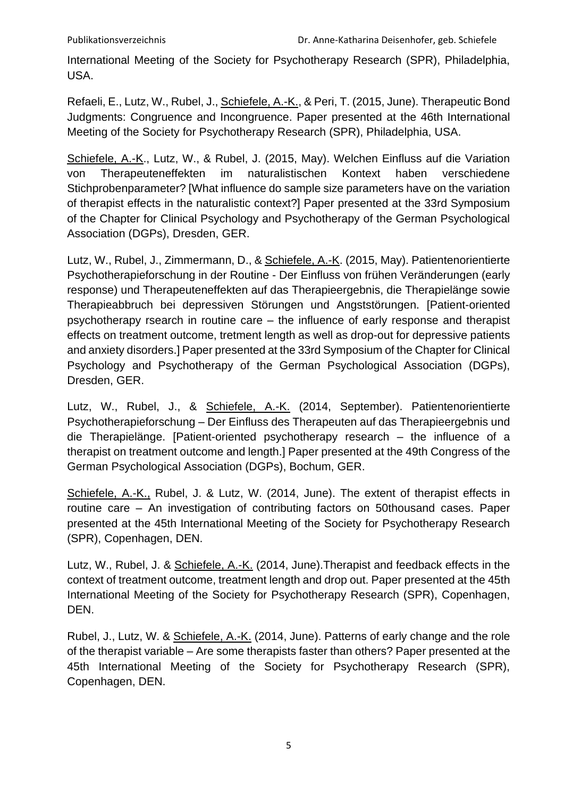International Meeting of the Society for Psychotherapy Research (SPR), Philadelphia, USA.

Refaeli, E., Lutz, W., Rubel, J., Schiefele, A.-K., & Peri, T. (2015, June). Therapeutic Bond Judgments: Congruence and Incongruence. Paper presented at the 46th International Meeting of the Society for Psychotherapy Research (SPR), Philadelphia, USA.

Schiefele, A.-K., Lutz, W., & Rubel, J. (2015, May). Welchen Einfluss auf die Variation von Therapeuteneffekten im naturalistischen Kontext haben verschiedene Stichprobenparameter? [What influence do sample size parameters have on the variation of therapist effects in the naturalistic context?] Paper presented at the 33rd Symposium of the Chapter for Clinical Psychology and Psychotherapy of the German Psychological Association (DGPs), Dresden, GER.

Lutz, W., Rubel, J., Zimmermann, D., & Schiefele, A.-K. (2015, May). Patientenorientierte Psychotherapieforschung in der Routine - Der Einfluss von frühen Veränderungen (early response) und Therapeuteneffekten auf das Therapieergebnis, die Therapielänge sowie Therapieabbruch bei depressiven Störungen und Angststörungen. [Patient-oriented psychotherapy rsearch in routine care – the influence of early response and therapist effects on treatment outcome, tretment length as well as drop-out for depressive patients and anxiety disorders.] Paper presented at the 33rd Symposium of the Chapter for Clinical Psychology and Psychotherapy of the German Psychological Association (DGPs), Dresden, GER.

Lutz, W., Rubel, J., & Schiefele, A.-K. (2014, September). Patientenorientierte Psychotherapieforschung – Der Einfluss des Therapeuten auf das Therapieergebnis und die Therapielänge. [Patient-oriented psychotherapy research – the influence of a therapist on treatment outcome and length.] Paper presented at the 49th Congress of the German Psychological Association (DGPs), Bochum, GER.

Schiefele, A.-K., Rubel, J. & Lutz, W. (2014, June). The extent of therapist effects in routine care – An investigation of contributing factors on 50thousand cases. Paper presented at the 45th International Meeting of the Society for Psychotherapy Research (SPR), Copenhagen, DEN.

Lutz, W., Rubel, J. & Schiefele, A.-K. (2014, June).Therapist and feedback effects in the context of treatment outcome, treatment length and drop out. Paper presented at the 45th International Meeting of the Society for Psychotherapy Research (SPR), Copenhagen, DEN.

Rubel, J., Lutz, W. & Schiefele, A.-K. (2014, June). Patterns of early change and the role of the therapist variable – Are some therapists faster than others? Paper presented at the 45th International Meeting of the Society for Psychotherapy Research (SPR), Copenhagen, DEN.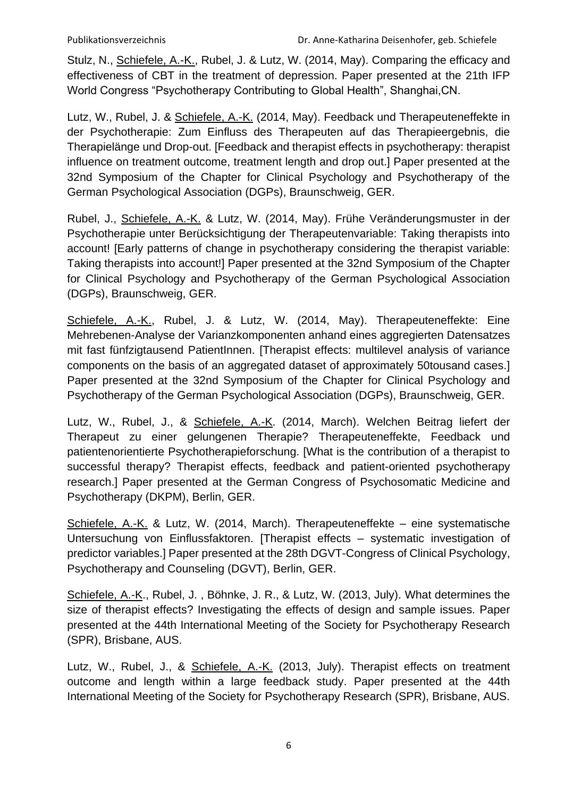Stulz, N., Schiefele, A.-K., Rubel, J. & Lutz, W. (2014, May). Comparing the efficacy and effectiveness of CBT in the treatment of depression. Paper presented at the 21th IFP World Congress "Psychotherapy Contributing to Global Health", Shanghai,CN.

Lutz, W., Rubel, J. & Schiefele, A.-K. (2014, May). Feedback und Therapeuteneffekte in der Psychotherapie: Zum Einfluss des Therapeuten auf das Therapieergebnis, die Therapielänge und Drop-out. [Feedback and therapist effects in psychotherapy: therapist influence on treatment outcome, treatment length and drop out.] Paper presented at the 32nd Symposium of the Chapter for Clinical Psychology and Psychotherapy of the German Psychological Association (DGPs), Braunschweig, GER.

Rubel, J., Schiefele, A.-K. & Lutz, W. (2014, May). Frühe Veränderungsmuster in der Psychotherapie unter Berücksichtigung der Therapeutenvariable: Taking therapists into account! [Early patterns of change in psychotherapy considering the therapist variable: Taking therapists into account!] Paper presented at the 32nd Symposium of the Chapter for Clinical Psychology and Psychotherapy of the German Psychological Association (DGPs), Braunschweig, GER.

Schiefele, A.-K., Rubel, J. & Lutz, W. (2014, May). Therapeuteneffekte: Eine Mehrebenen-Analyse der Varianzkomponenten anhand eines aggregierten Datensatzes mit fast fünfzigtausend PatientInnen. [Therapist effects: multilevel analysis of variance components on the basis of an aggregated dataset of approximately 50tousand cases.] Paper presented at the 32nd Symposium of the Chapter for Clinical Psychology and Psychotherapy of the German Psychological Association (DGPs), Braunschweig, GER.

Lutz, W., Rubel, J., & Schiefele, A.-K. (2014, March). Welchen Beitrag liefert der Therapeut zu einer gelungenen Therapie? Therapeuteneffekte, Feedback und patientenorientierte Psychotherapieforschung. [What is the contribution of a therapist to successful therapy? Therapist effects, feedback and patient-oriented psychotherapy research.] Paper presented at the German Congress of Psychosomatic Medicine and Psychotherapy (DKPM), Berlin, GER.

Schiefele, A.-K. & Lutz, W. (2014, March). Therapeuteneffekte – eine systematische Untersuchung von Einflussfaktoren. [Therapist effects – systematic investigation of predictor variables.] Paper presented at the 28th DGVT-Congress of Clinical Psychology, Psychotherapy and Counseling (DGVT), Berlin, GER.

Schiefele, A.-K., Rubel, J. , Böhnke, J. R., & Lutz, W. (2013, July). What determines the size of therapist effects? Investigating the effects of design and sample issues. Paper presented at the 44th International Meeting of the Society for Psychotherapy Research (SPR), Brisbane, AUS.

Lutz, W., Rubel, J., & Schiefele, A.-K. (2013, July). Therapist effects on treatment outcome and length within a large feedback study. Paper presented at the 44th International Meeting of the Society for Psychotherapy Research (SPR), Brisbane, AUS.